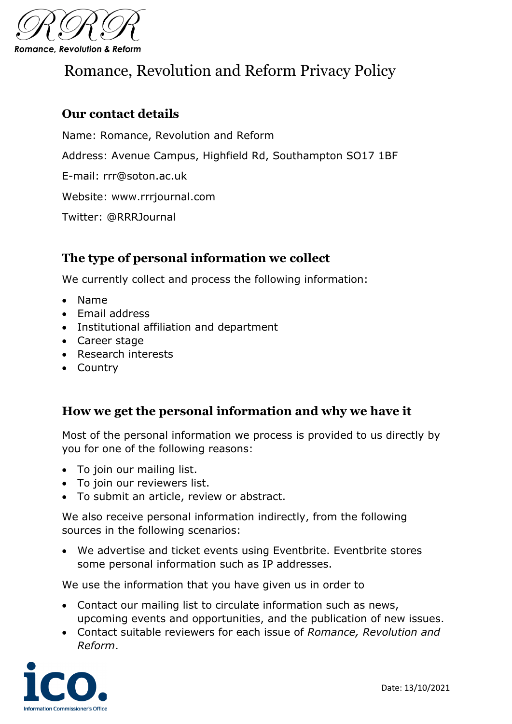

# Romance, Revolution and Reform Privacy Policy

## **Our contact details**

Name: Romance, Revolution and Reform Address: Avenue Campus, Highfield Rd, Southampton SO17 1BF E-mail: rrr@soton.ac.uk Website: www.rrrjournal.com Twitter: @RRRJournal

## **The type of personal information we collect**

We currently collect and process the following information:

- Name
- Email address
- Institutional affiliation and department
- Career stage
- Research interests
- Country

#### **How we get the personal information and why we have it**

Most of the personal information we process is provided to us directly by you for one of the following reasons:

- To join our mailing list.
- To join our reviewers list.
- To submit an article, review or abstract.

We also receive personal information indirectly, from the following sources in the following scenarios:

• We advertise and ticket events using Eventbrite. Eventbrite stores some personal information such as IP addresses.

We use the information that you have given us in order to

- Contact our mailing list to circulate information such as news, upcoming events and opportunities, and the publication of new issues.
- Contact suitable reviewers for each issue of *Romance, Revolution and Reform*.

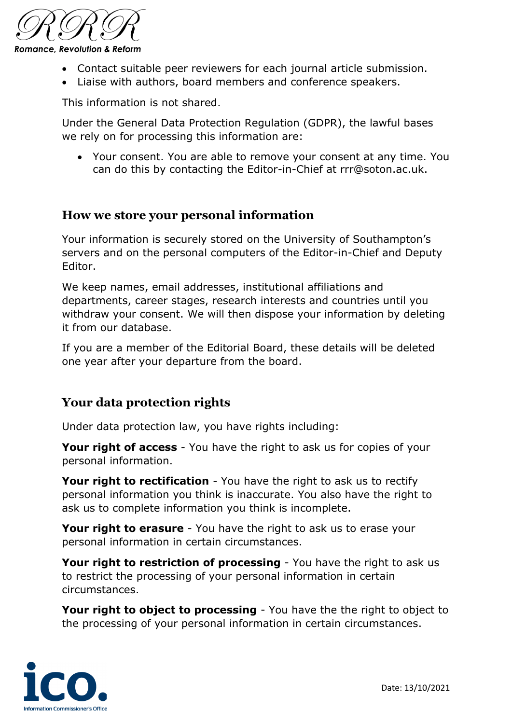

- Contact suitable peer reviewers for each journal article submission.
- Liaise with authors, board members and conference speakers.

This information is not shared.

Under the General Data Protection Regulation (GDPR), the lawful bases we rely on for processing this information are:

• Your consent. You are able to remove your consent at any time. You can do this by contacting the Editor-in-Chief at rrr@soton.ac.uk.

#### **How we store your personal information**

Your information is securely stored on the University of Southampton's servers and on the personal computers of the Editor-in-Chief and Deputy Editor.

We keep names, email addresses, institutional affiliations and departments, career stages, research interests and countries until you withdraw your consent. We will then dispose your information by deleting it from our database.

If you are a member of the Editorial Board, these details will be deleted one year after your departure from the board.

#### **Your data protection rights**

Under data protection law, you have rights including:

**Your right of access** - You have the right to ask us for copies of your personal information.

**Your right to rectification** - You have the right to ask us to rectify personal information you think is inaccurate. You also have the right to ask us to complete information you think is incomplete.

**Your right to erasure** - You have the right to ask us to erase your personal information in certain circumstances.

**Your right to restriction of processing** - You have the right to ask us to restrict the processing of your personal information in certain circumstances.

**Your right to object to processing** - You have the the right to object to the processing of your personal information in certain circumstances.